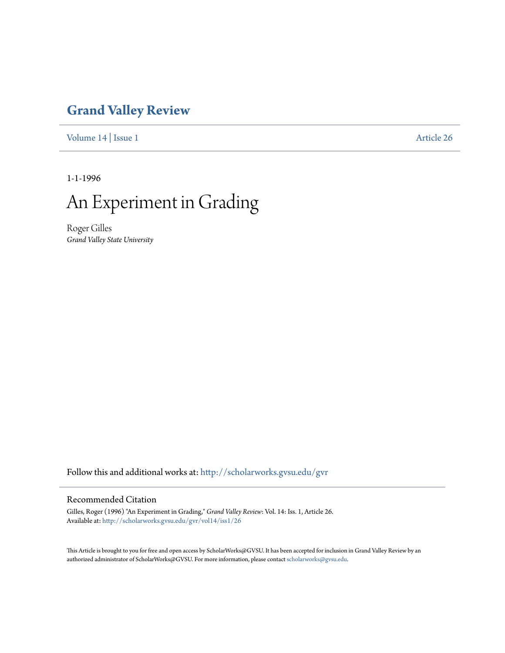# **[Grand Valley Review](http://scholarworks.gvsu.edu/gvr?utm_source=scholarworks.gvsu.edu%2Fgvr%2Fvol14%2Fiss1%2F26&utm_medium=PDF&utm_campaign=PDFCoverPages)**

[Volume 14](http://scholarworks.gvsu.edu/gvr/vol14?utm_source=scholarworks.gvsu.edu%2Fgvr%2Fvol14%2Fiss1%2F26&utm_medium=PDF&utm_campaign=PDFCoverPages) | [Issue 1](http://scholarworks.gvsu.edu/gvr/vol14/iss1?utm_source=scholarworks.gvsu.edu%2Fgvr%2Fvol14%2Fiss1%2F26&utm_medium=PDF&utm_campaign=PDFCoverPages) [Article 26](http://scholarworks.gvsu.edu/gvr/vol14/iss1/26?utm_source=scholarworks.gvsu.edu%2Fgvr%2Fvol14%2Fiss1%2F26&utm_medium=PDF&utm_campaign=PDFCoverPages)

1-1-1996

# An Experiment in Grading

Roger Gilles *Grand Valley State University*

Follow this and additional works at: [http://scholarworks.gvsu.edu/gvr](http://scholarworks.gvsu.edu/gvr?utm_source=scholarworks.gvsu.edu%2Fgvr%2Fvol14%2Fiss1%2F26&utm_medium=PDF&utm_campaign=PDFCoverPages)

## Recommended Citation

Gilles, Roger (1996) "An Experiment in Grading," *Grand Valley Review*: Vol. 14: Iss. 1, Article 26. Available at: [http://scholarworks.gvsu.edu/gvr/vol14/iss1/26](http://scholarworks.gvsu.edu/gvr/vol14/iss1/26?utm_source=scholarworks.gvsu.edu%2Fgvr%2Fvol14%2Fiss1%2F26&utm_medium=PDF&utm_campaign=PDFCoverPages)

This Article is brought to you for free and open access by ScholarWorks@GVSU. It has been accepted for inclusion in Grand Valley Review by an authorized administrator of ScholarWorks@GVSU. For more information, please contact [scholarworks@gvsu.edu.](mailto:scholarworks@gvsu.edu)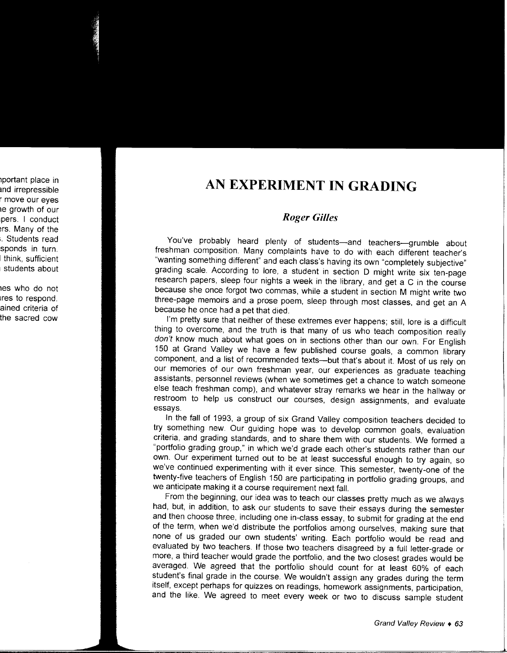# **AN EXPERIMENT IN GRADING**

## *Roger Gilles*

You've probably heard plenty of students-and teachers-grumble about freshman composition. Many complaints have to do with each different teacher's "wanting something different" and each class's having its own "completely subjective" grading scale. According to lore, a student in section D might write six ten-page research papers, sleep four nights a week in the library, and get a C in the course because she once forgot two commas, while a student in section M might write two three-page memoirs and a prose poem, sleep through most classes, and get an A because he once had a pet that died.

I'm pretty sure that neither of these extremes ever happens; still, lore is a difficult thing to overcome, and the truth is that many of us who teach composition really don't know much about what goes on in sections other than our own. For English 150 at Grand Valley we have a few published course goals, a common library component, and a list of recommended texts-but that's about it. Most of us rely on our memories of our own freshman year, our experiences as graduate teaching assistants, personnel reviews (when we sometimes get a chance to watch someone else teach freshman comp), and whatever stray remarks we hear in the hallway or restroom to help us construct our courses, design assignments, and evaluate essays.

In the fall of 1993, a group of six Grand Valley composition teachers decided to try something new. Our guiding hope was to develop common goals, evaluation criteria, and grading standards, and to share them with our students. We formed a "portfolio grading group," in which we'd grade each other's students rather than our own. Our experiment turned out to be at least successful enough to try again, so we've continued experimenting with it ever since. This semester, twenty-one of the twenty-five teachers of English 150 are participating in portfolio grading groups, and we anticipate making it a course requirement next fall.

From the beginning, our idea was to teach our classes pretty much as we always had, but, in addition, to ask our students to save their essays during the semester and then choose three, including one in-class essay, to submit for grading at the end of the term, when we'd distribute the portfolios among ourselves, making sure that none of us graded our own students' writing. Each portfolio would be read and evaluated by two teachers. If those two teachers disagreed by a full letter-grade or more, a third teacher would grade the portfolio, and the two closest grades would be averaged. We agreed that the portfolio should count for at least 60% of each student's final grade in the course. We wouldn't assign any grades during the term itself, except perhaps for quizzes on readings, homework assignments, participation, and the like. We agreed to meet every week or two to discuss sample student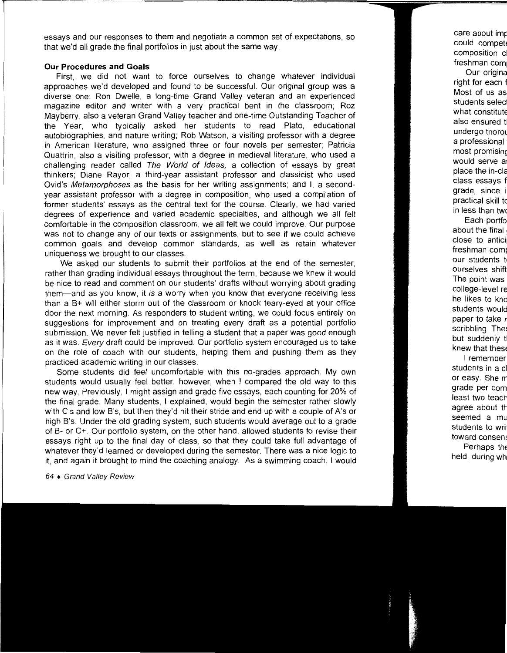essays and our responses to them and negotiate a common set of expectations, so that we'd all grade the final portfolios in just about the same way.

#### **Our Procedures and Goals**

First, we did not want to force ourselves to change whatever individual approaches we'd developed and found to be successful. Our original group was a diverse one: Ron Dwelle, a long-time Grand Valley veteran and an experienced magazine editor and writer with a very practical bent in the classroom; Roz Mayberry, also a veteran Grand Valley teacher and one-time Outstanding Teacher of the Year, who typically asked her students to read Plato, educational autobiographies, and nature writing; Rob Watson, a visiting professor with a degree in American literature, who assigned three or four novels per semester; Patricia Quattrin, also a visiting professor, with a degree in medieval literature, who used a challenging reader called The World of Ideas, a collection of essays by great thinkers; Diane Rayor, a third-year assistant professor and classicist who used Ovid's Metamorphoses as the basis for her writing assignments; and I, a secondyear assistant professor with a degree in composition, who used a compilation of former students' essays as the central text for the course. Clearly, we had varied degrees of experience and varied academic specialties, and although we all felt comfortable in the composition classroom, we all felt we could improve. Our purpose was not to change any of our texts or assignments, but to see if we could achieve common goals and develop common standards, as well as retain whatever uniqueness we brought to our classes.

We asked our students to submit their portfolios at the end of the semester, rather than grading individual essays throughout the term, because we knew it would be nice to read and comment on our students' drafts without worrying about grading them-and as you know, it is a worry when you know that everyone receiving less than a B+ will either storm out of the classroom or knock teary-eyed at your office door the next morning. As responders to student writing, we could focus entirely on suggestions for improvement and on treating every draft as a potential portfolio submission. We never felt justified in telling a student that a paper was good enough as it was. Every draft could be improved. Our portfolio system encouraged us to take on the role of coach with our students, helping them and pushing them as they practiced academic writing in our classes.

Some students did feel uncomfortable with this no-grades approach. My own students would usually feel better, however, when I compared the old way to this new way. Previously, I might assign and grade five essays, each counting for 20% of the final grade. Many students, I explained, would begin the semester rather slowly with C's and low B's, but then they'd hit their stride and end up with a couple of A's or high B's. Under the old grading system, such students would average out to a grade of B- or C+. Our portfolio system, on the other hand, allowed students to revise their essays right up to the final day of class, so that they could take full advantage of whatever they'd learned or developed during the semester. There was a nice logic to it, and again it brought to mind the coaching analogy. As a swimming coach, I would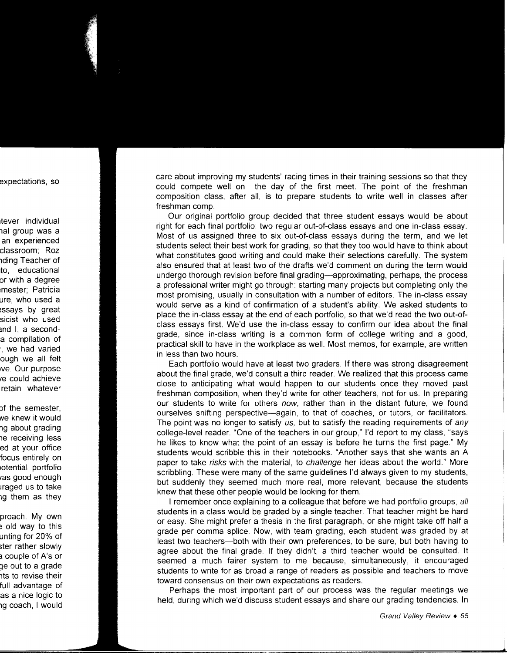care about improving my students' racing times in their training sessions so that they could compete well on the day of the first meet. The point of the freshman composition class, after all, is to prepare students to write well in classes after freshman comp.

Our original portfolio group decided that three student essays would be about right for each final portfolio: two regular out-of-class essays and one in-class essay. Most of us assigned three to six out-of-class essays during the term, and we let students select their best work for grading, so that they too would have to think about what constitutes good writing and could make their selections carefully. The system also ensured that at least two of the drafts we'd comment on during the term would undergo thorough revision before final grading-approximating, perhaps, the process a professional writer might go through: starting many projects but completing only the most promising, usually in consultation with a number of editors. The in-class essay would serve as a kind of confirmation of a student's ability. We asked students to place the in-class essay at the end of each portfolio, so that we'd read the two out-ofclass essays first. We'd use the in-class essay to confirm our idea about the final grade, since in-class writing is a common form of college writing and a good, practical skill to have in the workplace as well. Most memos, for example, are written in less than two hours.

Each portfolio would have at least two graders. If there was strong disagreement about the final grade, we'd consult a third reader. We realized that this process came close to anticipating what would happen to our students once they moved past freshman composition, when they'd write for other teachers, not for us. In preparing our students to write for others now, rather than in the distant future, we found ourselves shifting perspective-again, to that of coaches, or tutors, or facilitators. The point was no longer to satisfy us, but to satisfy the reading requirements of any college-level reader. "One of the teachers in our group," I'd report to my class, "says he likes to know what the point of an essay is before he turns the first page." My students would scribble this in their notebooks. "Another says that she wants an A paper to take *risks* with the material, to *challenge* her ideas about the world." More scribbling. These were many of the same guidelines I'd always given to my students, but suddenly they seemed much more real, more relevant, because the students knew that these other people would be looking for them.

I remember once explaining to a colleague that before we had portfolio groups, all students in a class would be graded by a single teacher. That teacher might be hard or easy. She might prefer a thesis in the first paragraph, or she might take off half a grade per comma splice. Now, with team grading, each student was graded by at least two teachers-both with their own preferences, to be sure, but both having to agree about the final grade. If they didn't, a third teacher would be consulted. It seemed a much fairer system to me because, simultaneously, it encouraged students to write for as broad a range of readers as possible and teachers to move toward consensus on their own expectations as readers.

Perhaps the most important part of our process was the regular meetings we held, during which we'd discuss student essays and share our grading tendencies. In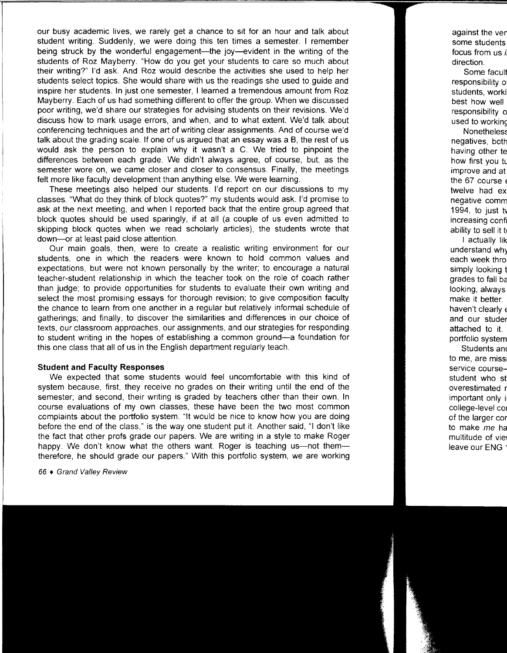our busy academic lives, we rarely get a chance to sit for an hour and talk about student writing. Suddenly, we were doing this ten times a semester. I remember being struck by the wonderful engagement—the joy—evident in the writing of the students of Roz Mayberry. "How do you get your students to care so much about their writing?" I'd ask. And Roz would describe the activities she used to help her students select topics. She would share with us the readings she used to guide and inspire her students. In just one semester, I learned a tremendous amount from Roz Mayberry. Each of us had something different to offer the group. When we discussed poor writing, we'd share our strategies for advising students on their revisions. We'd discuss how to mark usage errors, and when, and to what extent. We'd talk about conferencing techniques and the art of writing clear assignments. And of course we'd talk about the grading scale. If one of us argued that an essay was a B, the rest of us would ask the person to explain why it wasn't a C. We tried to pinpoint the differences between each grade. We didn't always agree, of course, but, as the semester wore on, we came closer and closer to consensus. Finally, the meetings felt more like faculty development than anything else. We were learning.

These meetings also helped our students. I'd report on our discussions to my classes. "What do they think of block quotes?" my students would ask. I'd promise to ask at the next meeting, and when I reported back that the entire group agreed that block quotes should be used sparingly, if at all (a couple of us even admitted to skipping block quotes when we read scholarly articles), the students wrote that down-or at least paid close attention.

Our main goals, then, were to create a realistic writing environment for our students, one in which the readers were known to hold common values and expectations, but were not known personally by the writer; to encourage a natural teacher-student relationship in which the teacher took on the role of coach rather than judge; to provide opportunities for students to evaluate their own writing and select the most promising essays for thorough revision; to give composition faculty the chance to learn from one another in a regular but relatively informal schedule of gatherings; and finally, to discover the similarities and differences in our choice of texts, our classroom approaches, our assignments, and our strategies for responding to student writing in the hopes of establishing a common ground-a foundation for this one class that all of us in the English department regularly teach.

### **Student and Faculty Responses**

We expected that some students would feel uncomfortable with this kind of system because, first, they receive no grades on their writing until the end of the semester; and second, their writing is graded by teachers other than their own. In course evaluations of my own classes, these have been the two most common complaints about the portfolio system. "It would be nice to know how you are doing before the end of the class," is the way one student put it. Another said, "I don't like the fact that other profs grade our papers. We are writing in a style to make Roger happy. We don't know what the others want. Roger is teaching us—not them therefore, he should grade our papers." With this portfolio system, we are working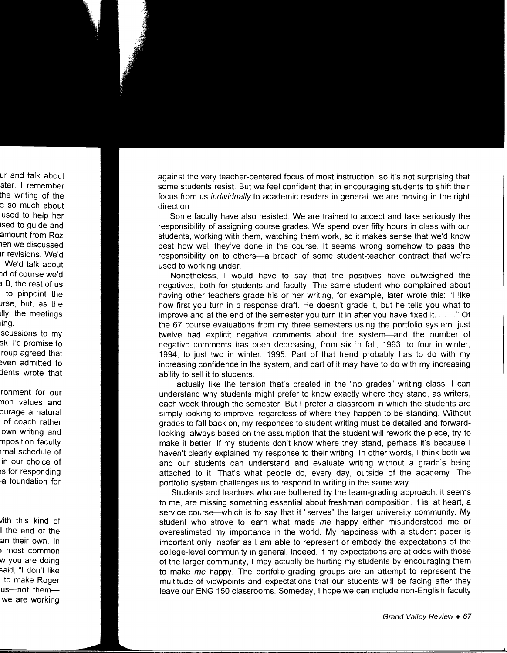against the very teacher-centered focus of most instruction, so it's not surprising that some students resist. But we feel confident that in encouraging students to shift their focus from us individually to academic readers in general, we are moving in the right direction.

Some faculty have also resisted. We are trained to accept and take seriously the responsibility of assigning course grades. We spend over fifty hours in class with our students, working with them, watching them work, so it makes sense that we'd know best how well they've done in the course. It seems wrong somehow to pass the responsibility on to others-a breach of some student-teacher contract that we're used to working under.

Nonetheless, I would have to say that the positives have outweighed the negatives, both for students and faculty. The same student who complained about having other teachers grade his or her writing, for example, later wrote this: "I like how first you turn in a response draft. He doesn't grade it, but he tells you what to improve and at the end of the semester you turn it in after you have fixed it. .... " Of the 67 course evaluations from my three semesters using the portfolio system, just twelve had explicit negative comments about the system-and the number of negative comments has been decreasing, from six in fall, 1993, to four in winter, 1994, to just two in winter, 1995. Part of that trend probably has to do with my increasing confidence in the system, and part of it may have to do with my increasing ability to sell it to students.

I actually like the tension that's created in the "no grades" writing class. I can understand why students might prefer to know exactly where they stand, as writers, each week through the semester. But I prefer a classroom in which the students are simply looking to improve, regardless of where they happen to be standing. Without grades to fall back on, my responses to student writing must be detailed and forwardlooking, always based on the assumption that the student will rework the piece, try to make it better. If my students don't know where they stand, perhaps it's because I haven't clearly explained my response to their writing. In other words, I think both we and our students can understand and evaluate writing without a grade's being attached to it. That's what people do, every day, outside of the academy. The portfolio system challenges us to respond to writing in the same way.

Students and teachers who are bothered by the team-grading approach, it seems to me, are missing something essential about freshman composition. It is, at heart, a service course-which is to say that it "serves" the larger university community. My student who strove to learn what made *me* happy either misunderstood me or overestimated my importance in the world. My happiness with a student paper is important only insofar as I am able to represent or embody the expectations of the college-level community in general. Indeed, if my expectations are at odds with those of the larger community, I may actually be hurting my students by encouraging them to make *me* happy. The portfolio-grading groups are an attempt to represent the multitude of viewpoints and expectations that our students will be facing after they leave our ENG 150 classrooms. Someday, I hope we can include non-English faculty